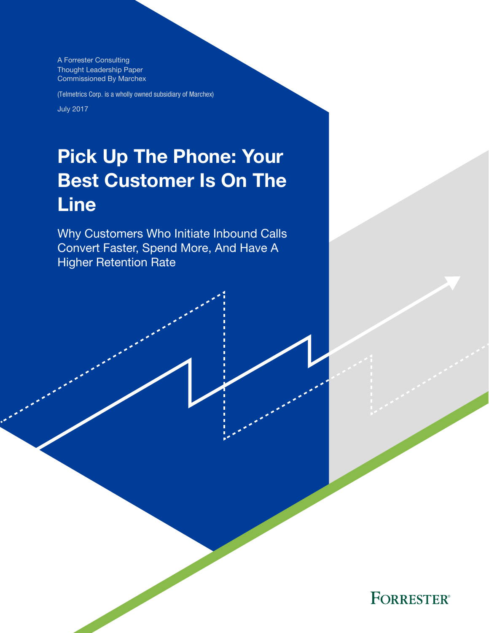A Forrester Consulting Thought Leadership Paper Commissioned By Marchex

(Telmetrics Corp. is a wholly owned subsidiary of Marchex)

July 2017

# Pick Up The Phone: Your Best Customer Is On The Line

Why Customers Who Initiate Inbound Calls Convert Faster, Spend More, And Have A Higher Retention Rate

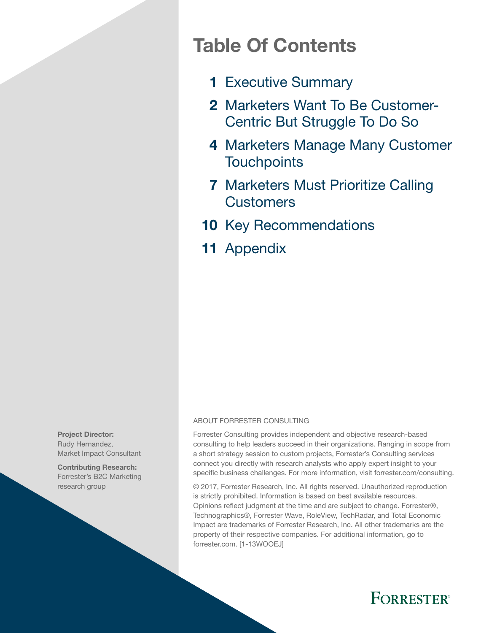# Table Of Contents

- 1 [Executive Summary](#page-2-0)
- 2 [Marketers Want To Be Customer-](#page-3-0)[Centric But Struggle To Do So](#page-3-0)
- 4 Marketers Manage Many Customer **[Touchpoints](#page-5-0)**
- **7 Marketers Must Prioritize Calling Customers**
- 10 [Key Recommendations](#page-11-0)
- 11 [Appendix](#page-12-0)

### ABOUT FORRESTER CONSULTING

Forrester Consulting provides independent and objective research-based consulting to help leaders succeed in their organizations. Ranging in scope from a short strategy session to custom projects, Forrester's Consulting services connect you directly with research analysts who apply expert insight to your specific business challenges. For more information, visit forrester.com/consulting.

© 2017, Forrester Research, Inc. All rights reserved. Unauthorized reproduction is strictly prohibited. Information is based on best available resources. Opinions reflect judgment at the time and are subject to change. Forrester®, Technographics®, Forrester Wave, RoleView, TechRadar, and Total Economic Impact are trademarks of Forrester Research, Inc. All other trademarks are the property of their respective companies. For additional information, go to forrester.com. [1-13WOOEJ]



Contributing Research: Forrester's B2C Marketing research group

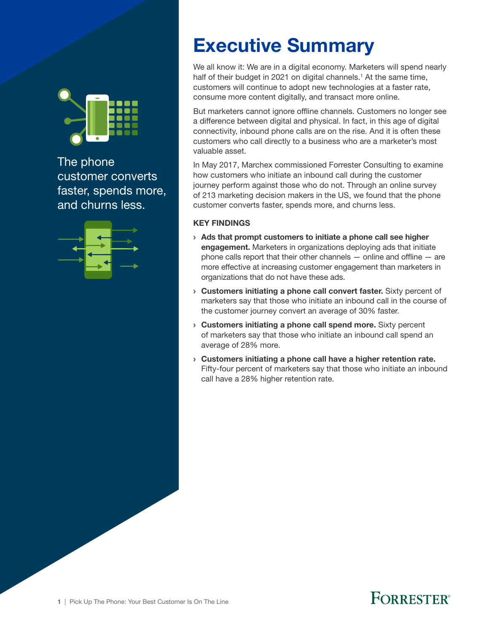<span id="page-2-0"></span>

The phone customer converts faster, spends more, and churns less.



# Executive Summary

We all know it: We are in a digital economy. Marketers will spend nearly half of their budget in 2021 on digital channels.<sup>1</sup> At the same time, customers will continue to adopt new technologies at a faster rate, consume more content digitally, and transact more online.

But marketers cannot ignore offline channels. Customers no longer see a difference between digital and physical. In fact, in this age of digital connectivity, inbound phone calls are on the rise. And it is often these customers who call directly to a business who are a marketer's most valuable asset.

In May 2017, Marchex commissioned Forrester Consulting to examine how customers who initiate an inbound call during the customer journey perform against those who do not. Through an online survey of 213 marketing decision makers in the US, we found that the phone customer converts faster, spends more, and churns less.

### KEY FINDINGS

- › Ads that prompt customers to initiate a phone call see higher engagement. Marketers in organizations deploying ads that initiate phone calls report that their other channels  $-$  online and offline  $-$  are more effective at increasing customer engagement than marketers in organizations that do not have these ads.
- › Customers initiating a phone call convert faster. Sixty percent of marketers say that those who initiate an inbound call in the course of the customer journey convert an average of 30% faster.
- › Customers initiating a phone call spend more. Sixty percent of marketers say that those who initiate an inbound call spend an average of 28% more.
- › Customers initiating a phone call have a higher retention rate. Fifty-four percent of marketers say that those who initiate an inbound call have a 28% higher retention rate.

# **FORRESTER**®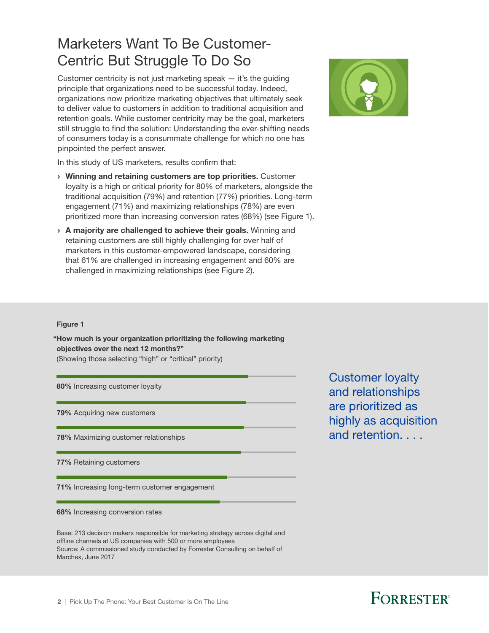# <span id="page-3-0"></span>Marketers Want To Be Customer-Centric But Struggle To Do So

Customer centricity is not just marketing speak — it's the guiding principle that organizations need to be successful today. Indeed, organizations now prioritize marketing objectives that ultimately seek to deliver value to customers in addition to traditional acquisition and retention goals. While customer centricity may be the goal, marketers still struggle to find the solution: Understanding the ever-shifting needs of consumers today is a consummate challenge for which no one has pinpointed the perfect answer.



In this study of US marketers, results confirm that:

- › Winning and retaining customers are top priorities. Customer loyalty is a high or critical priority for 80% of marketers, alongside the traditional acquisition (79%) and retention (77%) priorities. Long-term engagement (71%) and maximizing relationships (78%) are even prioritized more than increasing conversion rates (68%) (see Figure 1).
- › A majority are challenged to achieve their goals. Winning and retaining customers are still highly challenging for over half of marketers in this customer-empowered landscape, considering that 61% are challenged in increasing engagement and 60% are challenged in maximizing relationships (see Figure 2).

### Figure 1

"How much is your organization prioritizing the following marketing objectives over the next 12 months?"

(Showing those selecting "high" or "critical" priority)

80% Increasing customer loyalty

79% Acquiring new customers

78% Maximizing customer relationships

77% Retaining customers

71% Increasing long-term customer engagement

68% Increasing conversion rates

Base: 213 decision makers responsible for marketing strategy across digital and offline channels at US companies with 500 or more employees Source: A commissioned study conducted by Forrester Consulting on behalf of Marchex, June 2017

Customer loyalty and relationships are prioritized as highly as acquisition and retention. . . .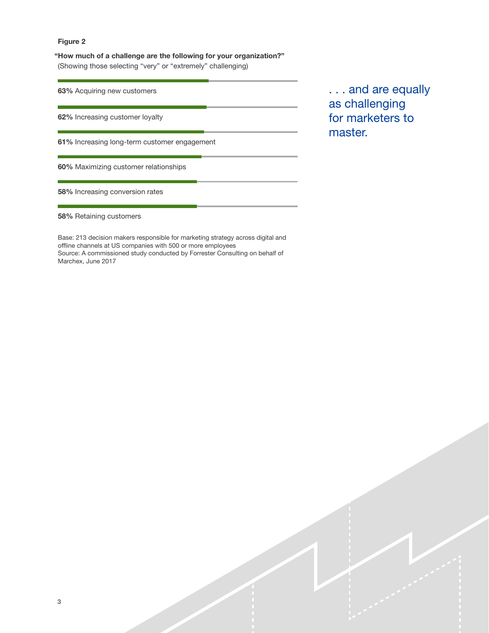"How much of a challenge are the following for your organization?" (Showing those selecting "very" or "extremely" challenging)

63% Acquiring new customers

62% Increasing customer loyalty

61% Increasing long-term customer engagement

60% Maximizing customer relationships

58% Increasing conversion rates

58% Retaining customers

Base: 213 decision makers responsible for marketing strategy across digital and offline channels at US companies with 500 or more employees Source: A commissioned study conducted by Forrester Consulting on behalf of Marchex, June 2017

. . . and are equally as challenging for marketers to master.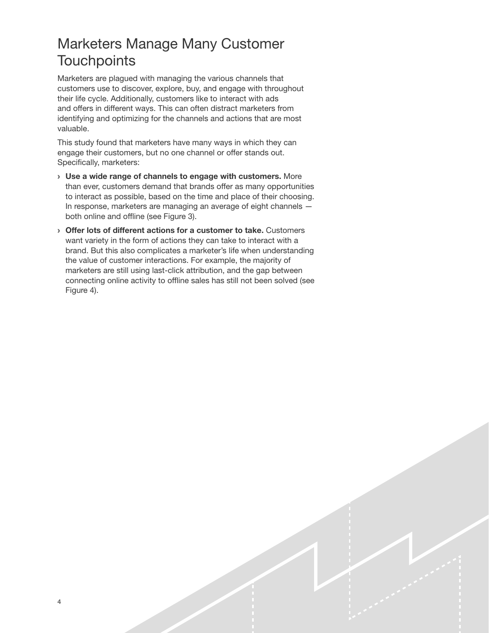# <span id="page-5-0"></span>Marketers Manage Many Customer **Touchpoints**

Marketers are plagued with managing the various channels that customers use to discover, explore, buy, and engage with throughout their life cycle. Additionally, customers like to interact with ads and offers in different ways. This can often distract marketers from identifying and optimizing for the channels and actions that are most valuable.

This study found that marketers have many ways in which they can engage their customers, but no one channel or offer stands out. Specifically, marketers:

- › Use a wide range of channels to engage with customers. More than ever, customers demand that brands offer as many opportunities to interact as possible, based on the time and place of their choosing. In response, marketers are managing an average of eight channels both online and offline (see Figure 3).
- › Offer lots of different actions for a customer to take. Customers want variety in the form of actions they can take to interact with a brand. But this also complicates a marketer's life when understanding the value of customer interactions. For example, the majority of marketers are still using last-click attribution, and the gap between connecting online activity to offline sales has still not been solved (see Figure 4).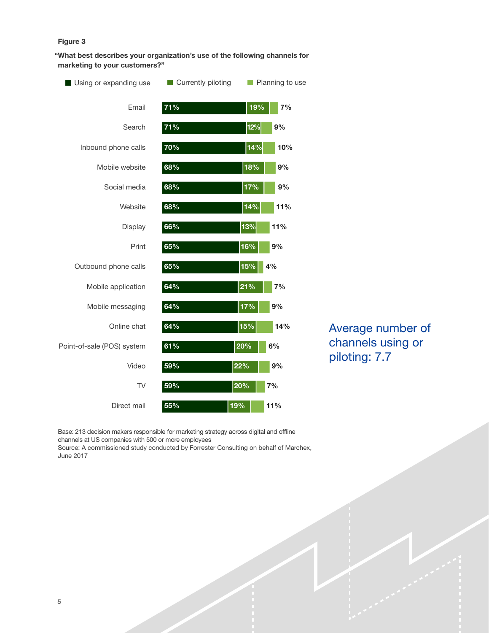"What best describes your organization's use of the following channels for marketing to your customers?"



Average number of channels using or piloting: 7.7

Base: 213 decision makers responsible for marketing strategy across digital and ofine channels at US companies with 500 or more employees

Source: A commissioned study conducted by Forrester Consulting on behalf of Marchex, June 2017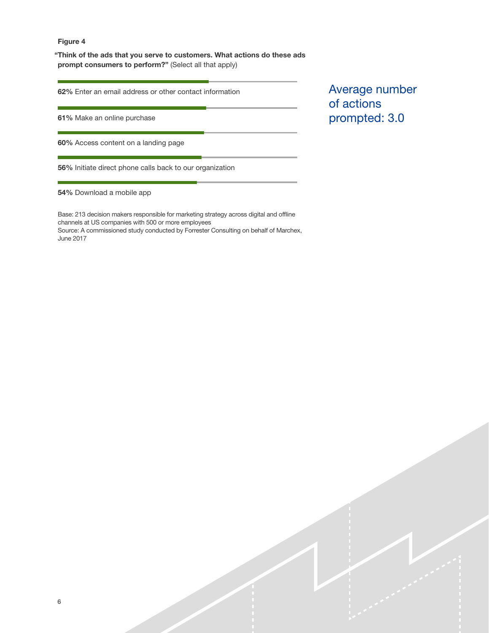"Think of the ads that you serve to customers. What actions do these ads prompt consumers to perform?" (Select all that apply)

62% Enter an email address or other contact information

61% Make an online purchase

60% Access content on a landing page

56% Initiate direct phone calls back to our organization

54% Download a mobile app

Base: 213 decision makers responsible for marketing strategy across digital and ofine channels at US companies with 500 or more employees Source: A commissioned study conducted by Forrester Consulting on behalf of Marchex, June 2017

Average number of actions prompted: 3.0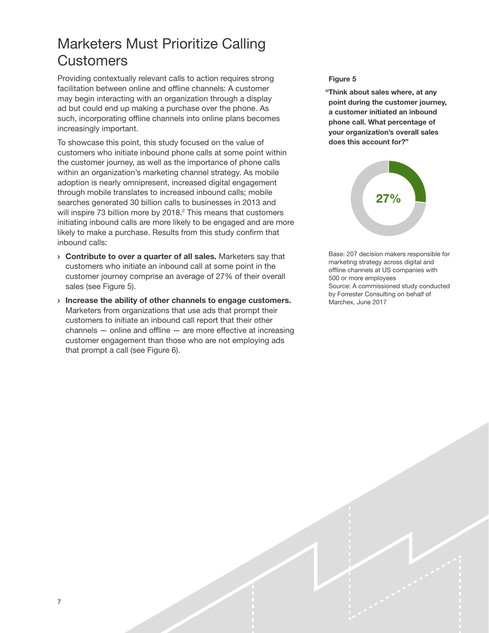# <span id="page-8-0"></span>Marketers Must Prioritize Calling **Customers**

Providing contextually relevant calls to action requires strong facilitation between online and offline channels: A customer may begin interacting with an organization through a display ad but could end up making a purchase over the phone. As such, incorporating offline channels into online plans becomes increasingly important.

To showcase this point, this study focused on the value of customers who initiate inbound phone calls at some point within the customer journey, as well as the importance of phone calls within an organization's marketing channel strategy. As mobile adoption is nearly omnipresent, increased digital engagement through mobile translates to increased inbound calls; mobile searches generated 30 billion calls to businesses in 2013 and will inspire 73 billion more by 2018.<sup>2</sup> This means that customers initiating inbound calls are more likely to be engaged and are more likely to make a purchase. Results from this study confirm that inbound calls:

- › Contribute to over a quarter of all sales. Marketers say that customers who initiate an inbound call at some point in the customer journey comprise an average of 27% of their overall sales (see Figure 5).
- › Increase the ability of other channels to engage customers. Marketers from organizations that use ads that prompt their customers to initiate an inbound call report that their other channels — online and offline — are more effective at increasing customer engagement than those who are not employing ads that prompt a call (see Figure 6).

### Figure 5

"Think about sales where, at any point during the customer journey, a customer initiated an inbound phone call. What percentage of your organization's overall sales does this account for?"



Base: 207 decision makers responsible for marketing strategy across digital and offline channels at US companies with 500 or more employees Source: A commissioned study conducted by Forrester Consulting on behalf of Marchex, June 2017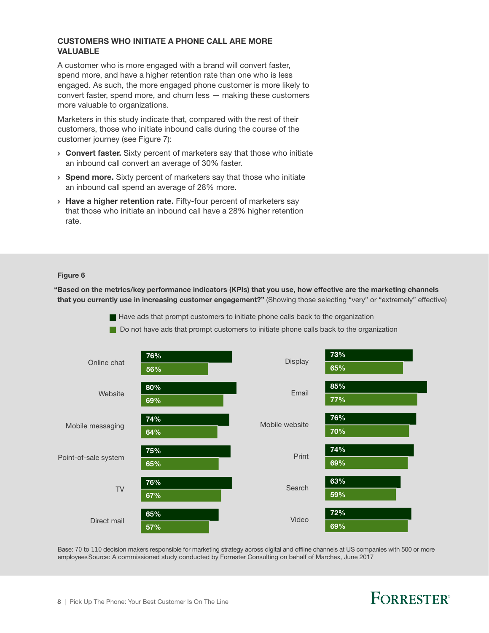### CUSTOMERS WHO INITIATE A PHONE CALL ARE MORE VALUABLE

A customer who is more engaged with a brand will convert faster, spend more, and have a higher retention rate than one who is less engaged. As such, the more engaged phone customer is more likely to convert faster, spend more, and churn less — making these customers more valuable to organizations.

Marketers in this study indicate that, compared with the rest of their customers, those who initiate inbound calls during the course of the customer journey (see Figure 7):

- **Convert faster.** Sixty percent of marketers say that those who initiate an inbound call convert an average of 30% faster.
- **> Spend more.** Sixty percent of marketers say that those who initiate an inbound call spend an average of 28% more.
- > Have a higher retention rate. Fifty-four percent of marketers say that those who initiate an inbound call have a 28% higher retention rate.

### Figure 6

"Based on the metrics/key performance indicators (KPIs) that you use, how effective are the marketing channels that you currently use in increasing customer engagement?" (Showing those selecting "very" or "extremely" effective)

- Have ads that prompt customers to initiate phone calls back to the organization
- Do not have ads that prompt customers to initiate phone calls back to the organization



Base: 70 to 110 decision makers responsible for marketing strategy across digital and ofine channels at US companies with 500 or more employeesSource: A commissioned study conducted by Forrester Consulting on behalf of Marchex, June 2017

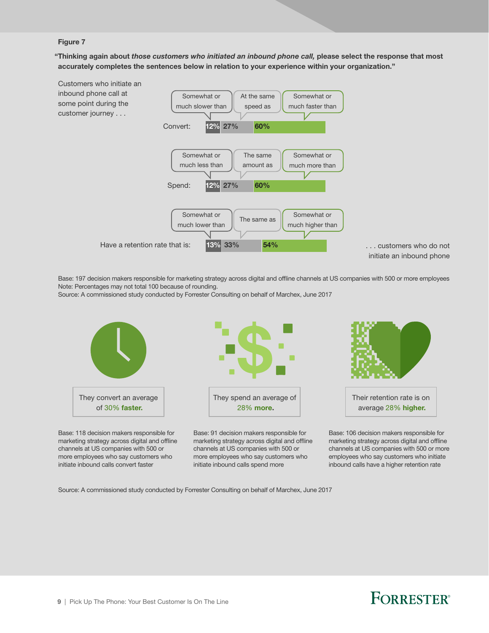"Thinking again about *those customers who initiated an inbound phone call,* please select the response that most accurately completes the sentences below in relation to your experience within your organization."



Base: 197 decision makers responsible for marketing strategy across digital and ofine channels at US companies with 500 or more employees Note: Percentages may not total 100 because of rounding.

Source: A commissioned study conducted by Forrester Consulting on behalf of Marchex, June 2017



Base: 118 decision makers responsible for marketing strategy across digital and offline channels at US companies with 500 or more employees who say customers who initiate inbound calls convert faster



Base: 91 decision makers responsible for marketing strategy across digital and offline channels at US companies with 500 or more employees who say customers who initiate inbound calls spend more



average 28% higher.

Base: 106 decision makers responsible for marketing strategy across digital and offline channels at US companies with 500 or more employees who say customers who initiate inbound calls have a higher retention rate

Source: A commissioned study conducted by Forrester Consulting on behalf of Marchex, June 2017

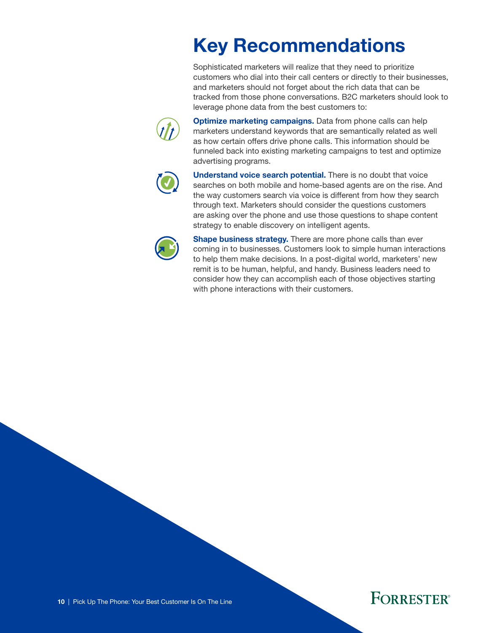# Key Recommendations

Sophisticated marketers will realize that they need to prioritize customers who dial into their call centers or directly to their businesses, and marketers should not forget about the rich data that can be tracked from those phone conversations. B2C marketers should look to leverage phone data from the best customers to:

<span id="page-11-0"></span>

Optimize marketing campaigns. Data from phone calls can help marketers understand keywords that are semantically related as well as how certain offers drive phone calls. This information should be funneled back into existing marketing campaigns to test and optimize advertising programs.



Understand voice search potential. There is no doubt that voice searches on both mobile and home-based agents are on the rise. And the way customers search via voice is different from how they search through text. Marketers should consider the questions customers are asking over the phone and use those questions to shape content strategy to enable discovery on intelligent agents.



**Shape business strategy.** There are more phone calls than ever coming in to businesses. Customers look to simple human interactions to help them make decisions. In a post-digital world, marketers' new remit is to be human, helpful, and handy. Business leaders need to consider how they can accomplish each of those objectives starting with phone interactions with their customers.

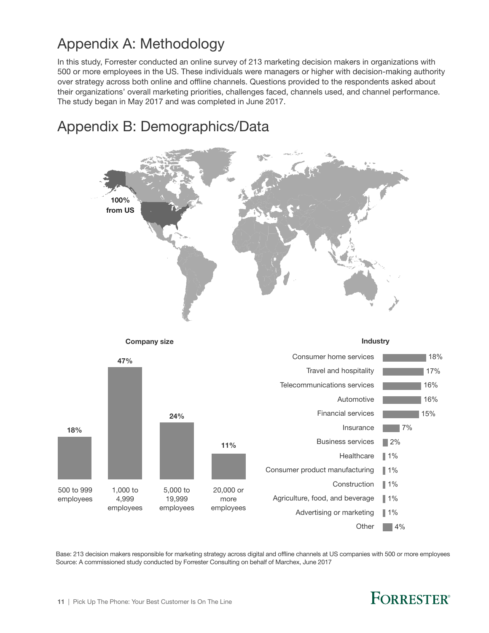# <span id="page-12-0"></span>Appendix A: Methodology

Appendix B: Demographics/Data

In this study, Forrester conducted an online survey of 213 marketing decision makers in organizations with 500 or more employees in the US. These individuals were managers or higher with decision-making authority over strategy across both online and offline channels. Questions provided to the respondents asked about their organizations' overall marketing priorities, challenges faced, channels used, and channel performance. The study began in May 2017 and was completed in June 2017.

# 100% from US



Base: 213 decision makers responsible for marketing strategy across digital and ofine channels at US companies with 500 or more employees Source: A commissioned study conducted by Forrester Consulting on behalf of Marchex, June 2017

# **FORRESTER®**